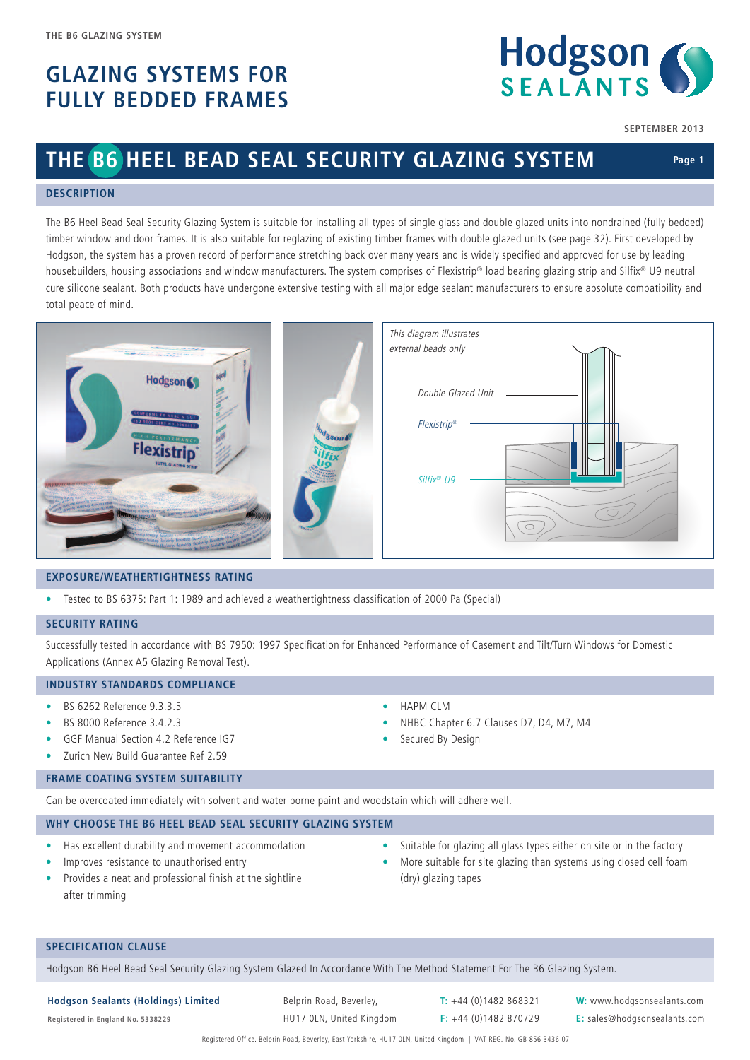## **GLAZING SYSTEMS FOR FULLY BEDDED FRAMES**



**SEPTEMBER 2013**

## **THE B6 HEEL BEAD SEAL SECURITY GLAZING SYSTEM**

## **Page 1**

#### **DESCRIPTION**

The B6 Heel Bead Seal Security Glazing System is suitable for installing all types of single glass and double glazed units into nondrained (fully bedded) timber window and door frames. It is also suitable for reglazing of existing timber frames with double glazed units (see page 32). First developed by Hodgson, the system has a proven record of performance stretching back over many years and is widely specified and approved for use by leading housebuilders, housing associations and window manufacturers. The system comprises of Flexistrip® load bearing glazing strip and Silfix® U9 neutral cure silicone sealant. Both products have undergone extensive testing with all major edge sealant manufacturers to ensure absolute compatibility and total peace of mind.

| <b>CONTRACTORS</b><br><b>The Contract Street Product</b>                                                                                                   | This diagram illustrates<br>external beads only |
|------------------------------------------------------------------------------------------------------------------------------------------------------------|-------------------------------------------------|
| Hodgson (                                                                                                                                                  | Double Glazed Unit                              |
| <b>CONFORMS TO NHEC &amp; GOF</b><br><b>150 5001 CERT NO.0960117</b><br>HIGH PERFORMANCY<br><b>Rson</b><br><b>Flexistrin</b><br><b>BUTYL GLAZING STRIP</b> | Ш<br>Flexistrip®<br>₩                           |
| some llexwrrp<br>the flooring the coming the state in the state.                                                                                           | Silfix <sup>®</sup> U9                          |

#### **EXPOSURE/WEATHERTIGHTNESS RATING**

• Tested to BS 6375: Part 1: 1989 and achieved a weathertightness classification of 2000 Pa (Special)

#### **SECURITY RATING**

Successfully tested in accordance with BS 7950: 1997 Specification for Enhanced Performance of Casement and Tilt/Turn Windows for Domestic Applications (Annex A5 Glazing Removal Test).

• HAPM CLM

Secured By Design

#### **INDUSTRY STANDARDS COMPLIANCE**

- BS 6262 Reference 9.3.3.5
- BS 8000 Reference 3.4.2.3
- GGF Manual Section 4.2 Reference IG7
- Zurich New Build Guarantee Ref 2.59

#### **FRAME COATING SYSTEM SUITABILITY**

Can be overcoated immediately with solvent and water borne paint and woodstain which will adhere well.

#### **WHY CHOOSE THE B6 HEEL BEAD SEAL SECURITY GLAZING SYSTEM**

- Has excellent durability and movement accommodation
- Improves resistance to unauthorised entry
- Provides a neat and professional finish at the sightline after trimming
- Suitable for glazing all glass types either on site or in the factory
- More suitable for site glazing than systems using closed cell foam (dry) glazing tapes

#### **SPECIFICATION CLAUSE**

Hodgson B6 Heel Bead Seal Security Glazing System Glazed In Accordance With The Method Statement For The B6 Glazing System.

**Hodgson Sealants (Holdings) Limited** Belprin Road, Beverley, **T:** +44 (0)1482 868321 **W:** www.hodgsonsealants.com

• NHBC Chapter 6.7 Clauses D7, D4, M7, M4

**Registered in England No. 5338229** HU17 0LN, United Kingdom **F**: +44 (0)1482 870729 **E:** sales@hodgsonsealants.com

Registered Office. Belprin Road, Beverley, East Yorkshire, HU17 0LN, United Kingdom | VAT REG. No. GB 856 3436 07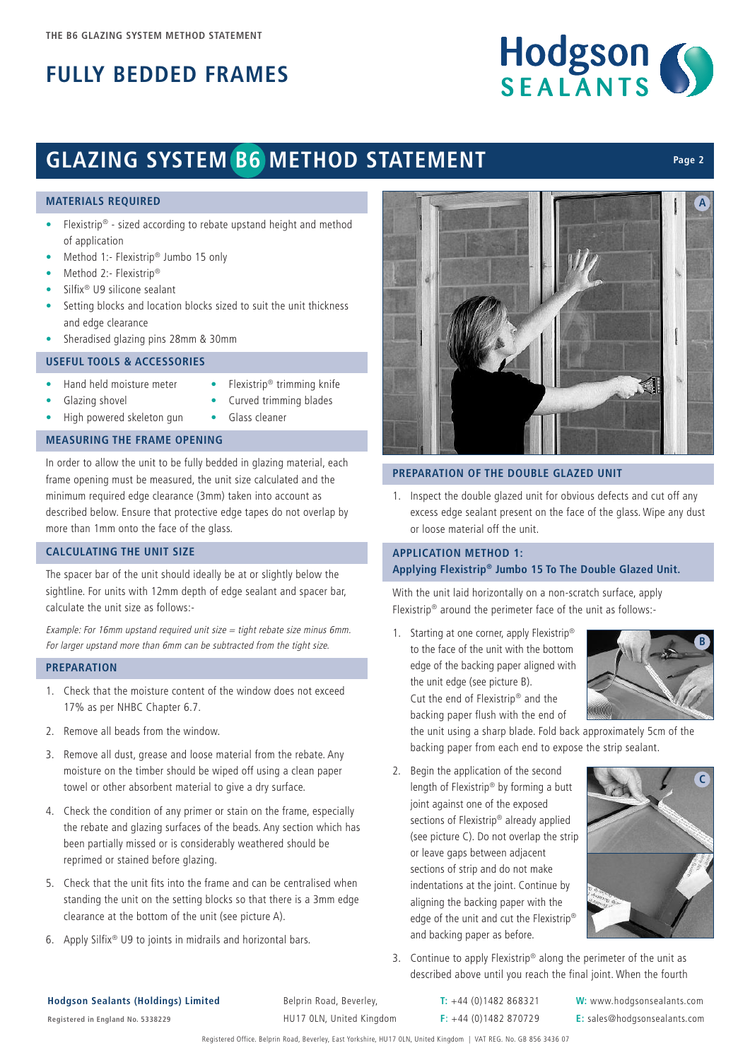

**Page 2**

# **GLAZING SYSTEM B6 METHOD STATEMENT**

#### **MATERIALS REQUIRED**

- Flexistrip® sized according to rebate upstand height and method of application
- Method 1:- Flexistrip® Jumbo 15 only
- Method 2:- Flexistrip®
- Silfix® U9 silicone sealant
- Setting blocks and location blocks sized to suit the unit thickness and edge clearance
- Sheradised glazing pins 28mm & 30mm

### **USEFUL TOOLS & ACCESSORIES**

- Hand held moisture meter
- Flexistrip® trimming knife
- Glazing shovel
- Curved trimming blades

• Glass cleaner

• High powered skeleton gun

## **MEASURING THE FRAME OPENING**

In order to allow the unit to be fully bedded in glazing material, each frame opening must be measured, the unit size calculated and the minimum required edge clearance (3mm) taken into account as described below. Ensure that protective edge tapes do not overlap by more than 1mm onto the face of the glass.

## **CALCULATING THE UNIT SIZE**

The spacer bar of the unit should ideally be at or slightly below the sightline. For units with 12mm depth of edge sealant and spacer bar, calculate the unit size as follows:-

Example: For 16mm upstand required unit size  $=$  tight rebate size minus 6mm. For larger upstand more than 6mm can be subtracted from the tight size.

#### **PREPARATION**

- 1. Check that the moisture content of the window does not exceed 17% as per NHBC Chapter 6.7.
- 2. Remove all beads from the window.
- 3. Remove all dust, grease and loose material from the rebate. Any moisture on the timber should be wiped off using a clean paper towel or other absorbent material to give a dry surface.
- 4. Check the condition of any primer or stain on the frame, especially the rebate and glazing surfaces of the beads. Any section which has been partially missed or is considerably weathered should be reprimed or stained before glazing.
- 5. Check that the unit fits into the frame and can be centralised when standing the unit on the setting blocks so that there is a 3mm edge clearance at the bottom of the unit (see picture A).
- 6. Apply Silfix® U9 to joints in midrails and horizontal bars.



#### **PREPARATION OF THE DOUBLE GLAZED UNIT**

1. Inspect the double glazed unit for obvious defects and cut off any excess edge sealant present on the face of the glass. Wipe any dust or loose material off the unit.

## **APPLICATION METHOD 1: Applying Flexistrip® Jumbo 15 To The Double Glazed Unit.**

With the unit laid horizontally on a non-scratch surface, apply Flexistrip® around the perimeter face of the unit as follows:-

1. Starting at one corner, apply Flexistrip<sup>®</sup> to the face of the unit with the bottom edge of the backing paper aligned with the unit edge (see picture B). Cut the end of Flexistrip® and the backing paper flush with the end of



the unit using a sharp blade. Fold back approximately 5cm of the backing paper from each end to expose the strip sealant.

2. Begin the application of the second length of Flexistrip® by forming a butt joint against one of the exposed sections of Flexistrip® already applied (see picture C). Do not overlap the strip or leave gaps between adjacent sections of strip and do not make indentations at the joint. Continue by aligning the backing paper with the edge of the unit and cut the Flexistrip® and backing paper as before.



3. Continue to apply Flexistrip<sup>®</sup> along the perimeter of the unit as described above until you reach the final joint. When the fourth

### **Hodgson Sealants (Holdings) Limited** Belprin Road, Beverley, **T:** +44 (0)1482 868321 **W:** www.hodgsonsealants.com

**Registered in England No. 5338229** HU17 0LN, United Kingdom **F**: +44 (0)1482 870729 **E:** sales@hodgsonsealants.com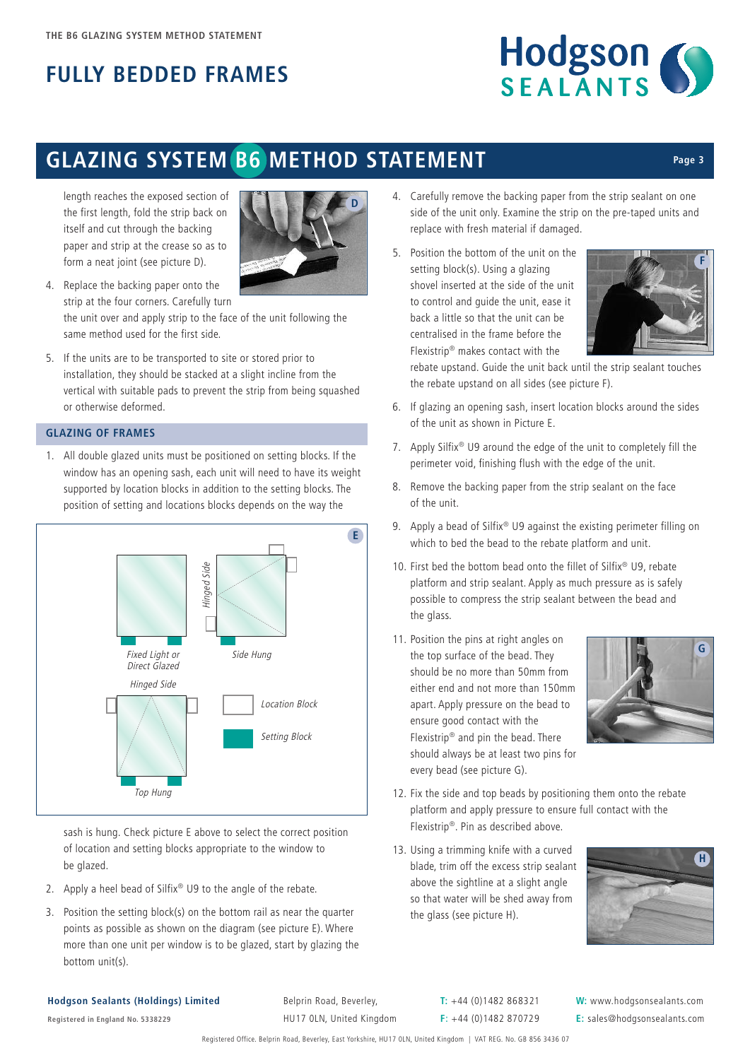

## **GLAZING SYSTEM B6 METHOD STATEMENT**

length reaches the exposed section of the first length, fold the strip back on itself and cut through the backing paper and strip at the crease so as to form a neat joint (see picture D).



- 4. Replace the backing paper onto the strip at the four corners. Carefully turn the unit over and apply strip to the face of the unit following the same method used for the first side.
- 5. If the units are to be transported to site or stored prior to installation, they should be stacked at a slight incline from the vertical with suitable pads to prevent the strip from being squashed or otherwise deformed.

## **GLAZING OF FRAMES**

1. All double glazed units must be positioned on setting blocks. If the window has an opening sash, each unit will need to have its weight supported by location blocks in addition to the setting blocks. The position of setting and locations blocks depends on the way the



sash is hung. Check picture E above to select the correct position of location and setting blocks appropriate to the window to be glazed.

- 2. Apply a heel bead of Silfix® U9 to the angle of the rebate.
- 3. Position the setting block(s) on the bottom rail as near the quarter points as possible as shown on the diagram (see picture E). Where more than one unit per window is to be glazed, start by glazing the bottom unit(s).
- 4. Carefully remove the backing paper from the strip sealant on one side of the unit only. Examine the strip on the pre-taped units and replace with fresh material if damaged.
- 5. Position the bottom of the unit on the setting block(s). Using a glazing shovel inserted at the side of the unit to control and guide the unit, ease it back a little so that the unit can be centralised in the frame before the Flexistrip® makes contact with the



**Page 3**

rebate upstand. Guide the unit back until the strip sealant touches the rebate upstand on all sides (see picture F).

- 6. If glazing an opening sash, insert location blocks around the sides of the unit as shown in Picture E.
- 7. Apply Silfix® U9 around the edge of the unit to completely fill the perimeter void, finishing flush with the edge of the unit.
- 8. Remove the backing paper from the strip sealant on the face of the unit.
- 9. Apply a bead of Silfix® U9 against the existing perimeter filling on which to bed the bead to the rebate platform and unit.
- 10. First bed the bottom bead onto the fillet of Silfix® U9, rebate platform and strip sealant. Apply as much pressure as is safely possible to compress the strip sealant between the bead and the glass.
- 11. Position the pins at right angles on the top surface of the bead. They should be no more than 50mm from either end and not more than 150mm apart. Apply pressure on the bead to ensure good contact with the Flexistrip® and pin the bead. There should always be at least two pins for every bead (see picture G).



- 12. Fix the side and top beads by positioning them onto the rebate platform and apply pressure to ensure full contact with the Flexistrip®. Pin as described above.
- 13. Using a trimming knife with a curved blade, trim off the excess strip sealant above the sightline at a slight angle so that water will be shed away from the glass (see picture H).



#### **Hodgson Sealants (Holdings) Limited** Belprin Road, Beverley, **T:** +44 (0)1482 868321 **W:** www.hodgsonsealants.com

**Registered in England No. 5338229** HU17 0LN, United Kingdom **F**: +44 (0)1482 870729 **E:** sales@hodgsonsealants.com

Registered Office. Belprin Road, Beverley, East Yorkshire, HU17 0LN, United Kingdom | VAT REG. No. GB 856 3436 07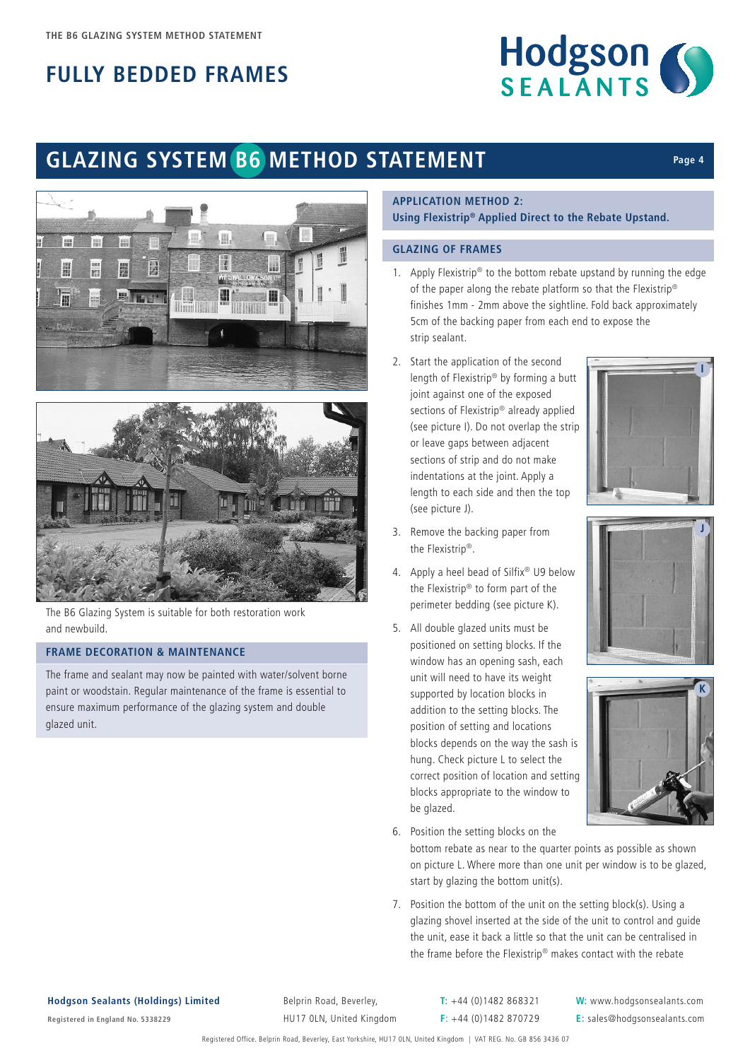

**I**

**Page 4**

**J**

**K**

# **GLAZING SYSTEM B6 METHOD STATEMENT**





The B6 Glazing System is suitable for both restoration work and newbuild.

## **FRAME DECORATION & MAINTENANCE**

The frame and sealant may now be painted with water/solvent borne paint or woodstain. Regular maintenance of the frame is essential to ensure maximum performance of the glazing system and double glazed unit.

### **APPLICATION METHOD 2: Using Flexistrip® Applied Direct to the Rebate Upstand.**

### **GLAZING OF FRAMES**

- 1. Apply Flexistrip® to the bottom rebate upstand by running the edge of the paper along the rebate platform so that the Flexistrip® finishes 1mm - 2mm above the sightline. Fold back approximately 5cm of the backing paper from each end to expose the strip sealant.
- 2. Start the application of the second length of Flexistrip® by forming a butt joint against one of the exposed sections of Flexistrip® already applied (see picture I). Do not overlap the strip or leave gaps between adjacent sections of strip and do not make indentations at the joint. Apply a length to each side and then the top (see picture J).
- 3. Remove the backing paper from the Flexistrip®.
- 4. Apply a heel bead of Silfix<sup>®</sup> U9 below the Flexistrip® to form part of the perimeter bedding (see picture K).
- 5. All double glazed units must be positioned on setting blocks. If the window has an opening sash, each unit will need to have its weight supported by location blocks in addition to the setting blocks. The position of setting and locations blocks depends on the way the sash is hung. Check picture L to select the correct position of location and setting blocks appropriate to the window to be glazed.
- 6. Position the setting blocks on the

bottom rebate as near to the quarter points as possible as shown on picture L. Where more than one unit per window is to be glazed, start by glazing the bottom unit(s).

7. Position the bottom of the unit on the setting block(s). Using a glazing shovel inserted at the side of the unit to control and guide the unit, ease it back a little so that the unit can be centralised in the frame before the Flexistrip® makes contact with the rebate

**Hodgson Sealants (Holdings) Limited** Belprin Road, Beverley, **T:** +44 (0)1482 868321 **W:** www.hodgsonsealants.com